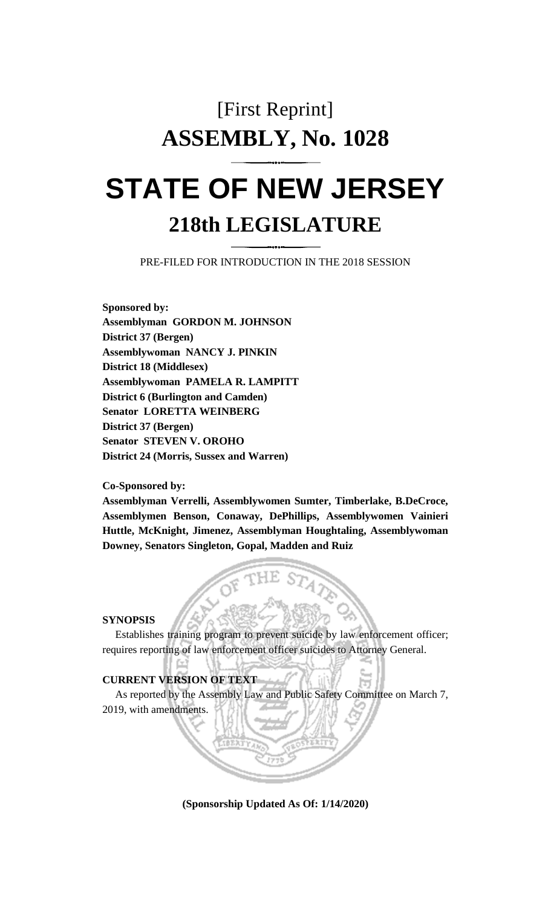# [First Reprint] **ASSEMBLY, No. 1028 STATE OF NEW JERSEY**

# **218th LEGISLATURE**

PRE-FILED FOR INTRODUCTION IN THE 2018 SESSION

**Sponsored by: Assemblyman GORDON M. JOHNSON District 37 (Bergen) Assemblywoman NANCY J. PINKIN District 18 (Middlesex) Assemblywoman PAMELA R. LAMPITT District 6 (Burlington and Camden) Senator LORETTA WEINBERG District 37 (Bergen) Senator STEVEN V. OROHO District 24 (Morris, Sussex and Warren)**

#### **Co-Sponsored by:**

**Assemblyman Verrelli, Assemblywomen Sumter, Timberlake, B.DeCroce, Assemblymen Benson, Conaway, DePhillips, Assemblywomen Vainieri Huttle, McKnight, Jimenez, Assemblyman Houghtaling, Assemblywoman Downey, Senators Singleton, Gopal, Madden and Ruiz**

#### **SYNOPSIS**

Establishes training program to prevent suicide by law enforcement officer; requires reporting of law enforcement officer suicides to Attorney General.

## **CURRENT VERSION OF TEXT**

As reported by the Assembly Law and Public Safety Committee on March 7, 2019, with amendments.

**(Sponsorship Updated As Of: 1/14/2020)**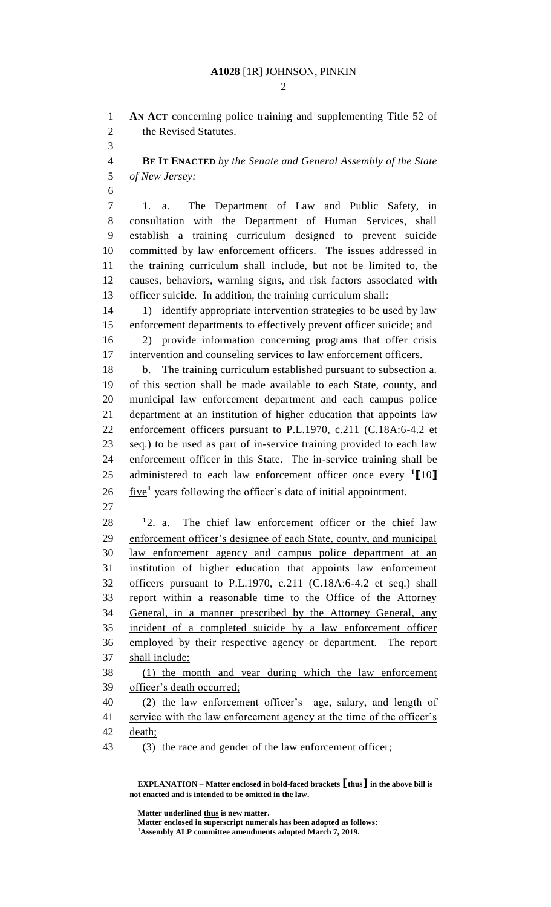#### **A1028** [1R] JOHNSON, PINKIN

 $\mathcal{D}_{\mathcal{L}}$ 

 **AN ACT** concerning police training and supplementing Title 52 of the Revised Statutes.

 **BE IT ENACTED** *by the Senate and General Assembly of the State of New Jersey:*

 1. a. The Department of Law and Public Safety, in consultation with the Department of Human Services, shall establish a training curriculum designed to prevent suicide committed by law enforcement officers. The issues addressed in the training curriculum shall include, but not be limited to, the causes, behaviors, warning signs, and risk factors associated with officer suicide. In addition, the training curriculum shall:

14 1) identify appropriate intervention strategies to be used by law enforcement departments to effectively prevent officer suicide; and 2) provide information concerning programs that offer crisis intervention and counseling services to law enforcement officers.

 b. The training curriculum established pursuant to subsection a. of this section shall be made available to each State, county, and municipal law enforcement department and each campus police department at an institution of higher education that appoints law enforcement officers pursuant to P.L.1970, c.211 (C.18A:6-4.2 et seq.) to be used as part of in-service training provided to each law enforcement officer in this State. The in-service training shall be administered to each law enforcement officer once every **<sup>1</sup> [**10**]**  $26 \frac{\text{five}}{\text{1}}$  years following the officer's date of initial appointment.

28 <sup>1</sup>2. a. The chief law enforcement officer or the chief law enforcement officer's designee of each State, county, and municipal law enforcement agency and campus police department at an institution of higher education that appoints law enforcement officers pursuant to P.L.1970, c.211 (C.18A:6-4.2 et seq.) shall report within a reasonable time to the Office of the Attorney General, in a manner prescribed by the Attorney General, any incident of a completed suicide by a law enforcement officer employed by their respective agency or department. The report shall include:

 (1) the month and year during which the law enforcement officer's death occurred;

 (2) the law enforcement officer's age, salary, and length of 41 service with the law enforcement agency at the time of the officer's death;

(3) the race and gender of the law enforcement officer;

**EXPLANATION – Matter enclosed in bold-faced brackets [thus] in the above bill is not enacted and is intended to be omitted in the law.**

**Matter underlined thus is new matter.**

**Matter enclosed in superscript numerals has been adopted as follows: Assembly ALP committee amendments adopted March 7, 2019.**